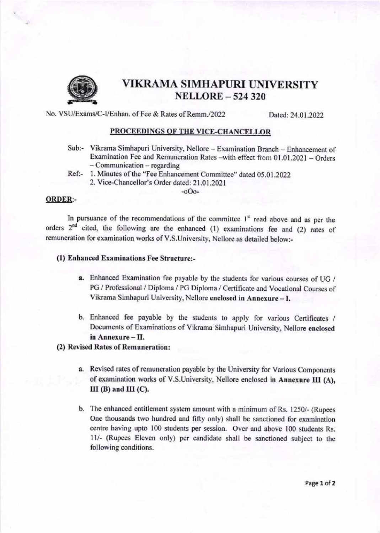

## VIKRAMA SIMHAPURI UNIVERSITY NELLORE \_524320

No. VSU/Exams/C-I/Enhan. of Fee & Rates of Remm./2022 Dated: 24.01.2022

#### PROCEEDINGS OF THE VICE-CHANCELLOR

- Sub:- Vikrama Simhapuri University, Nellore Examination Branch Enhancement of Examination Fee and Remuneration Rates -with effect from 01.01.2021 - Orders - Communication - regarding
- Ref:- 1. Minutes of the "Fee Enhancement Committee" dated 05.01.2022
	- 2. Vice-Chancellor's Order dated: 21.01.2021

-oOo-

#### ORDER:-

In pursuance of the recommendations of the committee  $1<sup>st</sup>$  read above and as per the orders 2nd cited, the following are the enhanced (1) examinations fee and (2) rates of remuneration for examination works of V.S.University, Nellore as detailed below:-

#### (1) Enhanced Examinations Fee Structure:-

- a. Enhanced Examination fee payable by the students for various courses of UG / PG / Professional / Diploma / PG Diploma / Certificate and Vocational Courses of Vikrama Simhapuri University, Nellore enclosed in Annexure - I.
- b. Enhanced fee payable by the students to apply for various Certificates / Documents of Examinations of Vikrama Simhapuri University, Nellore enclosed in Annexure - II.

### (2) Revised Rates of Remuneration:

- a. Revised rates of remuneration payable by the University for Various Components of examination works of V.S.University, Nellore enclosed in Annexure III (A),  $III$  (B) and  $III$  (C).
- b. The enhanced entitlement system amount with a minimum of Rs. 1250/- (Rupees One thousands two hundred and fifty only) shall be sanctioned for examination centre having upto 100 students per session. Over and above 100 students Rs. <sup>I</sup>l/- (Rupees Eleven only) per candidate shall be sanctioned subject to the following conditions.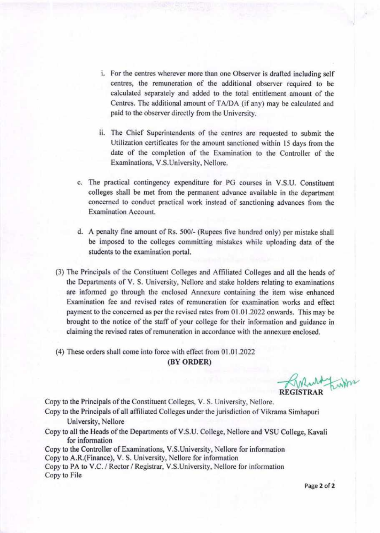- i. For the centres wherever more than one Observer is drafted including self centres, the remuneration of the additional observer required to be calculated separately and added to the total entitlement amount of the Centres. The additional amount of TA/DA (if any) may be calculated and paid to the observer directly from the University.
- ii. The Chief Superintendents of the centres are requested to submit the Utilization certificates for the amount sanctioned within l5 days from the date of the completion of the Examination to the Controller of the Examinations, V.S.University, Nellore.
- c. The practical contingency expenditure for PG courses in V.S.U. Constituent colleges shall be met from the permanent advance available in the department concerned to conduct practical work instead of sanctioning advances from the Examination Account.
- d. A penalty fine amount of Rs. 500/- (Rupees five hundred only) per mistake shall be imposed to the colleges committing mistakes while uploading data of the students to the examination portal.
- (3) The Principals of the Constituent Colleges and Afliliated Colleges and all the heads of the Departments of V. S. University, Nellore and stake holders relating to examinations are informed go through the enclosed Annexure containing the item wise enhanced Examination fee and revised rates of remuneration for examination works and effect payment to the concemed as per the revised rates from 01.01.2022 onwards. This may be brought to the notice of the staff of your college for their information and guidance in claiming the revised rates of remuneration in accordance with the annexure enclosed.
- (4) These orders shall come into force with effect from 01.01.2022

#### (BY ORDER)

REGISTRAR

Copy to the Principals of the Constituent Colleges, V. S. University, Nellore.

- Copy to the Principals of all affiliated Colleges under the jurisdiction of Vikama Simhapuri University, Nellore
- Copy to all the Heads of the Departments of V.S.U. College, Nellore and VSU College, Kavali for information

Copy to the Controller of Examinations, V.S.University, Nellore for information Copy to A.R.(Finance), V. S. University, Nellore for information Copy to PA to V.C. / Rector / Registrar, V.S.University, Nellore for information Copy to File

Page 2 of 2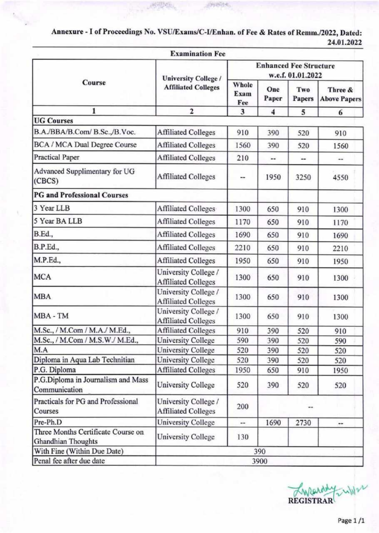Annexure - I of Proceedings No. VSU/Exams/C-I/Enhan. of Fee & Rates of Remm./2022, Dated: 24.01.2022

内部的

高可防治

|                                                          | <b>Examination Fee</b>                             |                                                    |                      |                |                                |
|----------------------------------------------------------|----------------------------------------------------|----------------------------------------------------|----------------------|----------------|--------------------------------|
|                                                          | <b>University College /</b>                        | <b>Enhanced Fee Structure</b><br>w.e.f. 01.01.2022 |                      |                |                                |
| Course                                                   | <b>Affiliated Colleges</b>                         | Whole<br>Exam<br>Fee                               | One<br>Paper         | Two<br>Papers  | Three &<br><b>Above Papers</b> |
| 1                                                        | $\overline{2}$                                     | 3                                                  | 4                    | 5              | 6                              |
| <b>UG</b> Courses                                        |                                                    |                                                    |                      |                |                                |
| B.A./BBA/B.Com/ B.Sc.,/B.Voc.                            | <b>Affiliated Colleges</b>                         | 910                                                | 390                  | 520            | 910                            |
| BCA / MCA Dual Degree Course                             | <b>Affiliated Colleges</b>                         | 1560                                               | 390                  | 520            | 1560                           |
| <b>Practical Paper</b>                                   | <b>Affiliated Colleges</b>                         | 210                                                | $\ddot{\phantom{1}}$ | $\overline{a}$ |                                |
| Advanced Supplimentary for UG<br>(CBCS)                  | <b>Affiliated Colleges</b>                         |                                                    | 1950                 | 3250           | 4550                           |
| <b>PG</b> and Professional Courses                       |                                                    |                                                    |                      |                |                                |
| 3 Year LLB                                               | <b>Affiliated Colleges</b>                         | 1300                                               | 650                  | 910            | 1300                           |
| 5 Year BA LLB                                            | <b>Affiliated Colleges</b>                         | 1170                                               | 650                  | 910            | 1170                           |
| B.Ed.,                                                   | <b>Affiliated Colleges</b>                         | 1690                                               | 650                  | 910            | 1690                           |
| B.P.Ed.,                                                 | <b>Affiliated Colleges</b>                         | 2210                                               | 650                  | 910            | 2210                           |
| M.P.Ed.,                                                 | <b>Affiliated Colleges</b>                         | 1950                                               | 650                  | 910            | 1950                           |
| <b>MCA</b>                                               | University College /<br><b>Affiliated Colleges</b> | 1300                                               | 650                  | 910            | 1300                           |
| <b>MBA</b>                                               | University College /<br><b>Affiliated Colleges</b> | 1300                                               | 650                  | 910            | 1300                           |
| MBA - TM                                                 | University College /<br><b>Affiliated Colleges</b> | 1300                                               | 650                  | 910            | 1300                           |
| M.Sc., / M.Com / M.A./ M.Ed.,                            | <b>Affiliated Colleges</b>                         | 910                                                | 390                  | 520            | 910                            |
| M.Sc., / M.Com / M.S.W./ M.Ed.,                          | University College                                 | 590                                                | 390                  | 520            | 590                            |
| M.A                                                      | <b>University College</b>                          | 520                                                | 390                  | 520            | 520                            |
| Diploma in Aqua Lab Technitian                           | <b>University College</b>                          | 520                                                | 390                  | 520            | 520                            |
| P.G. Diploma                                             | <b>Affiliated Colleges</b>                         | 1950                                               | 650                  | 910            | 1950                           |
| P.G.Diploma in Journalism and Mass<br>Communication      | University College                                 | 520                                                | 390                  | 520            | 520                            |
| Practicals for PG and Professional<br>Courses            | University College /<br><b>Affiliated Colleges</b> | 200                                                |                      |                |                                |
| Pre-Ph.D                                                 | <b>University College</b>                          | --                                                 | 1690                 | 2730           | --                             |
| Three Months Certificate Course on<br>Ghandhian Thoughts | University College                                 | 130                                                |                      |                |                                |
| With Fine (Within Due Date)                              |                                                    |                                                    | 390                  |                |                                |
| Penal fee after due date                                 |                                                    |                                                    | 3900                 |                |                                |

 $\mathcal{L}$ REGIST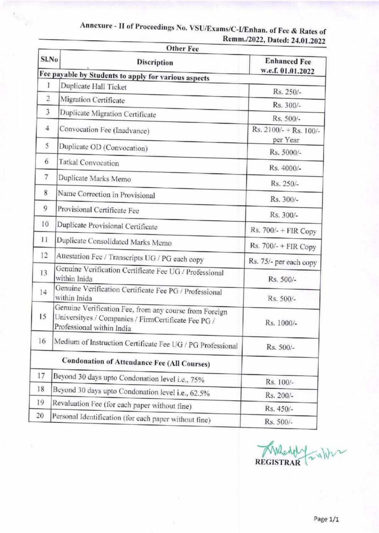|                | <b>Other Fee</b>                                                                                                                           |                                          |
|----------------|--------------------------------------------------------------------------------------------------------------------------------------------|------------------------------------------|
| Sl.No          | Discription                                                                                                                                | <b>Enhanced Fee</b><br>w.e.f. 01.01.2022 |
|                | Fee payable by Students to apply for various aspects                                                                                       |                                          |
| 1              | Duplicate Hall Ticket                                                                                                                      | Rs. 250/-                                |
| 2              | Migration Certificate                                                                                                                      | Rs. 300/-                                |
| $\overline{3}$ | Duplicate Migration Certificate                                                                                                            | Rs. 500/-                                |
| $\overline{4}$ | Convocation Fee (Inadvance)                                                                                                                | Rs. $2100/- + Rs. 100/-$<br>per Year     |
| 5              | Duplicate OD (Convocation)                                                                                                                 | Rs. 5000/-                               |
| 6              | <b>Tatkal Convocation</b>                                                                                                                  | Rs. 4000/-                               |
| $7\phantom{.}$ | Duplicate Marks Memo                                                                                                                       | Rs. 250/-                                |
| 8              | Name Correction in Provisional                                                                                                             | Rs. 300/-                                |
| 9              | Provisional Certificate Fee                                                                                                                | Rs. 300/-                                |
| 10             | Duplicate Provisional Certificate                                                                                                          | Rs. $700/-$ + FIR Copy                   |
| $^{11}$        | Duplicate Consolidated Marks Memo                                                                                                          | Rs. 700/- + FIR Copy                     |
| 12             | Attestation Fee / Transcripts UG / PG each copy                                                                                            | Rs. 75/- per each copy                   |
| 13             | Genuine Verification Certificate Fee UG / Professional<br>within Inida                                                                     | Rs. 500/-                                |
| 14             | Genuine Verification Certificate Fee PG / Professional<br>within Inida                                                                     | Rs. 500/-                                |
| 15             | Genuine Verification Fee, from any course from Foreign<br>Universityes / Companies / FirmCertificate Fee PG /<br>Professional within India | Rs. 1000/-                               |
| 16             | Medium of Instruction Certificate Fee UG / PG Professional                                                                                 | Rs. 500/-                                |
|                | <b>Condonation of Attendance Fee (All Courses)</b>                                                                                         |                                          |
| 17             | Beyond 30 days upto Condonation level i.e., 75%                                                                                            | Rs. 100/-                                |
| 18             | Beyond 30 days upto Condonation level i.e., 62.5%                                                                                          | Rs. 200/-                                |
| 19             | Revaluation Fee (for each paper without fine)                                                                                              | Rs. 450/-                                |
| 20             | Personal Identification (for each paper without fine)                                                                                      | Rs. 500/-                                |

# Annexure - II of Proceedings No. VSU/Exams/C-I/Enhan. of Fee & Rates of Remm./2022, Dated: 24.01.2022

 $\left\langle \mathbf{r}_{\mathrm{in}}\right\rangle _{2}$ 

 $\sqrt{v}$ REGISTRAR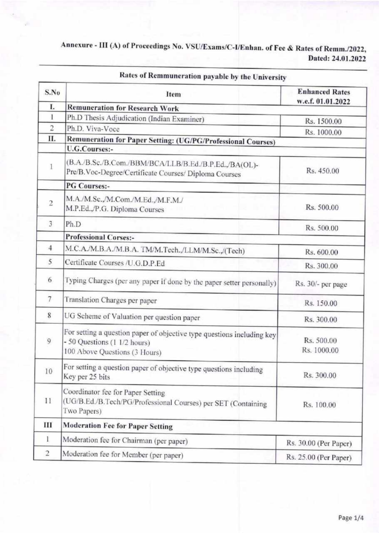## Dated: 24.01,2022 Annexure - III (A) of Proceedings No. vSU/Exams/c-I/Enhan. of Fee & Rates of Remm./2022,

| S.No           | Item                                                                                                                                    | <b>Enhanced Rates</b><br>w.e.f. 01.01.2022 |  |  |
|----------------|-----------------------------------------------------------------------------------------------------------------------------------------|--------------------------------------------|--|--|
| L.             | <b>Remuneration for Research Work</b>                                                                                                   |                                            |  |  |
| 1              | Ph.D Thesis Adjudication (Indian Examiner)                                                                                              | Rs. 1500.00                                |  |  |
| $\overline{2}$ | Ph.D. Viva-Voce                                                                                                                         | Rs. 1000.00                                |  |  |
| П.             | Remuneration for Paper Setting: (UG/PG/Professional Courses)                                                                            |                                            |  |  |
|                | <b>U.G.Courses:-</b>                                                                                                                    |                                            |  |  |
| 1              | (B.A./B.Sc./B.Com./BBM/BCA/LLB/B.Ed./B.P.Ed.,/BA(OL)-<br>Pre/B.Voc-Degree/Certificate Courses/ Diploma Courses                          | Rs. 450.00                                 |  |  |
|                | <b>PG Courses:-</b>                                                                                                                     |                                            |  |  |
| $\overline{2}$ | M.A./M.Sc.,/M.Com./M.Ed.,/M.F.M./<br>M.P.Ed.,/P.G. Diploma Courses                                                                      | Rs. 500.00                                 |  |  |
| 3              | Ph.D                                                                                                                                    | Rs. 500.00                                 |  |  |
|                | <b>Professional Corses:-</b>                                                                                                            |                                            |  |  |
| $\overline{4}$ | M.C.A./M.B.A./M.B.A. TM/M.Tech./LLM/M.Sc/(Tech)                                                                                         | Rs. 600.00                                 |  |  |
| 5              | Certificate Courses /U.G.D.P.Ed                                                                                                         | Rs. 300.00                                 |  |  |
| 6              | Typing Charges (per any paper if done by the paper setter personally)                                                                   | Rs. 30/- per page                          |  |  |
| $7\phantom{.}$ | Translation Charges per paper                                                                                                           | Rs. 150.00                                 |  |  |
| 8              | UG Scheme of Valuation per question paper                                                                                               | Rs. 300.00                                 |  |  |
| 9              | For setting a question paper of objective type questions including key<br>- 50 Questions (1 1/2 hours)<br>100 Above Questions (3 Hours) | Rs. 500.00<br>Rs. 1000.00                  |  |  |
| 10             | For setting a question paper of objective type questions including<br>Key per 25 bits                                                   | Rs. 300.00                                 |  |  |
| 11             | Coordinator fee for Paper Setting<br>(UG/B.Ed./B.Tech/PG/Professional Courses) per SET (Containing<br>Two Papers)                       | Rs. 100.00                                 |  |  |
| Ш              | <b>Moderation Fee for Paper Setting</b>                                                                                                 |                                            |  |  |
| 1              | Moderation fee for Chairman (per paper)                                                                                                 | Rs. 30.00 (Per Paper)                      |  |  |
| 2              | Moderation fee for Member (per paper)                                                                                                   | Rs. 25.00 (Per Paper).                     |  |  |

## Rates of Remmuneration payable by the University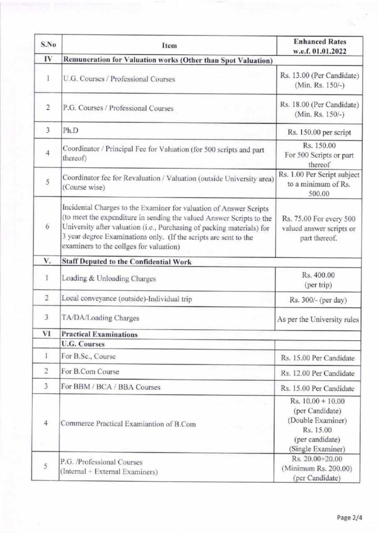| S.No           | Item                                                                                                                                                                                                                                                                                                                                | <b>Enhanced Rates</b><br>w.e.f. 01.01.2022                                                                       |  |  |
|----------------|-------------------------------------------------------------------------------------------------------------------------------------------------------------------------------------------------------------------------------------------------------------------------------------------------------------------------------------|------------------------------------------------------------------------------------------------------------------|--|--|
| IV             | Remuneration for Valuation works (Other than Spot Valuation)                                                                                                                                                                                                                                                                        |                                                                                                                  |  |  |
| I              | U.G. Courses / Professional Courses                                                                                                                                                                                                                                                                                                 | Rs. 13.00 (Per Candidate)<br>(Min. Rs. 150/-)                                                                    |  |  |
| $\overline{2}$ | P.G. Courses / Professional Courses                                                                                                                                                                                                                                                                                                 | Rs. 18.00 (Per Candidate)<br>(Min. Rs. 150/-)                                                                    |  |  |
| 3              | Ph.D                                                                                                                                                                                                                                                                                                                                | Rs. 150.00 per script                                                                                            |  |  |
| $\overline{4}$ | Coordinator / Principal Fee for Valuation (for 500 scripts and part<br>thereof)                                                                                                                                                                                                                                                     | Rs. 150.00<br>For 500 Scripts or part<br>thereof                                                                 |  |  |
| 5              | Coordinator fee for Revaluation / Valuation (outside University area)<br>(Course wise)                                                                                                                                                                                                                                              | Rs. 1.00 Per Script subject<br>to a minimum of Rs.<br>500.00                                                     |  |  |
| 6              | Incidental Charges to the Examiner for valuation of Answer Scripts<br>(to meet the expenditure in sending the valued Answer Scripts to the<br>University after valuation (i.e., Purchasing of packing materials) for<br>3 year degree Examinations only. (If the scripts are sent to the<br>examiners to the collges for valuation) | Rs. 75.00 For every 500<br>valued answer scripts or<br>part thereof.                                             |  |  |
| V.             | <b>Staff Deputed to the Confidential Work</b>                                                                                                                                                                                                                                                                                       |                                                                                                                  |  |  |
| 1              | Loading & Unloading Charges                                                                                                                                                                                                                                                                                                         | Rs. 400.00<br>(per trip)                                                                                         |  |  |
| $\overline{2}$ | Local conveyance (outside)-Individual trip                                                                                                                                                                                                                                                                                          | Rs. 300/- (per day)                                                                                              |  |  |
| 3              | TA/DA/Loading Charges                                                                                                                                                                                                                                                                                                               | As per the University rules                                                                                      |  |  |
| VI             | <b>Practical Examinations</b>                                                                                                                                                                                                                                                                                                       |                                                                                                                  |  |  |
|                | <b>U.G. Courses</b>                                                                                                                                                                                                                                                                                                                 |                                                                                                                  |  |  |
| 1              | For B.Sc., Course                                                                                                                                                                                                                                                                                                                   | Rs. 15.00 Per Candidate                                                                                          |  |  |
| $\overline{c}$ | For B.Com Course                                                                                                                                                                                                                                                                                                                    | Rs. 12.00 Per Candidate                                                                                          |  |  |
| 3              | For BBM / BCA / BBA Courses                                                                                                                                                                                                                                                                                                         | Rs. 15.00 Per Candidate                                                                                          |  |  |
| $\overline{4}$ | Commerce Practical Examiantion of B.Com                                                                                                                                                                                                                                                                                             | Rs. $10.00 + 10.00$<br>(per Candidate)<br>(Double Examiner)<br>Rs. 15.00<br>(per candidate)<br>(Single Examiner) |  |  |
| 5              | P.G. /Professional Courses<br>(Internal + External Examiners)                                                                                                                                                                                                                                                                       | Rs. 20.00+20.00<br>(Minimum Rs. 200.00)<br>(per Candidate)                                                       |  |  |

 $\mathbf{h}_\mathrm{c}$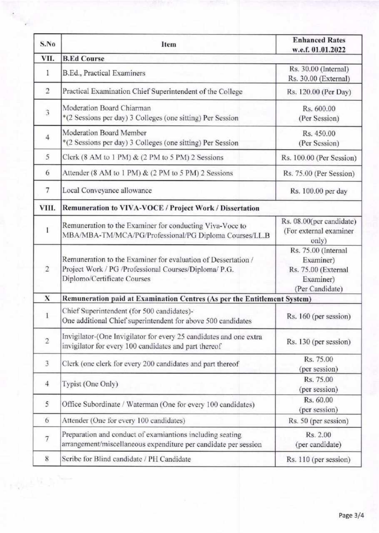| S.No           | Item                                                                                                                                                  | <b>Enhanced Rates</b><br>w.e.f. 01.01.2022                                              |  |
|----------------|-------------------------------------------------------------------------------------------------------------------------------------------------------|-----------------------------------------------------------------------------------------|--|
| VII.           | <b>B.Ed Course</b>                                                                                                                                    |                                                                                         |  |
| 1              | B.Ed., Practical Examiners                                                                                                                            | Rs. 30.00 (Internal)<br>Rs. 30.00 (External)                                            |  |
| $\overline{2}$ | Practical Examination Chief Superintendent of the College                                                                                             | Rs. 120.00 (Per Day)                                                                    |  |
| 3              | Moderation Board Chiarman<br>*(2 Sessions per day) 3 Colleges (one sitting) Per Session                                                               | Rs. 600.00<br>(Per Session)                                                             |  |
| $\overline{4}$ | Moderation Board Member<br>*(2 Sessions per day) 3 Colleges (one sitting) Per Session                                                                 | Rs. 450.00<br>(Per Session)                                                             |  |
| 5              | Clerk $(8 AM to 1 PM)$ & $(2 PM to 5 PM)$ 2 Sessions                                                                                                  | Rs. 100.00 (Per Session)                                                                |  |
| 6              | Attender (8 AM to 1 PM) & (2 PM to 5 PM) 2 Sessions                                                                                                   | Rs. 75.00 (Per Session)                                                                 |  |
| $\overline{7}$ | Local Conveyance allowance                                                                                                                            | Rs. 100.00 per day                                                                      |  |
| VIII.          | Remuneration to VIVA-VOCE / Project Work / Dissertation                                                                                               |                                                                                         |  |
| I              | Remuneration to the Examiner for conducting Viva-Voce to<br>MBA/MBA-TM/MCA/PG/Professional/PG Diploma Courses/LL.B                                    | Rs. 08.00(per candidate)<br>(For external examiner<br>only)                             |  |
| $\overline{2}$ | Remuneration to the Examiner for evaluation of Dessertation /<br>Project Work / PG /Professional Courses/Diploma/ P.G.<br>Diplomo/Certificate Courses | Rs. 75.00 (Internal<br>Examiner)<br>Rs. 75.00 (External<br>Examiner)<br>(Per Candidate) |  |
| X              | Remuneration paid at Examination Centres (As per the Entitlement System)                                                                              |                                                                                         |  |
|                | Chief Superintendent (for 500 candidates)-<br>One additional Chief superintendent for above 500 candidates                                            | Rs. 160 (per session)                                                                   |  |
| $\overline{c}$ | Invigilator-(One Invigilator for every 25 candidates and one extra<br>invigilator for every 100 candidates and part thereof                           | Rs. 130 (per session)                                                                   |  |
| 3              | Clerk (one clerk for every 200 candidates and part thereof                                                                                            | Rs. 75.00<br>(per session)                                                              |  |
| $\overline{4}$ | Typist (One Only)                                                                                                                                     | Rs. 75.00<br>(per session)                                                              |  |
| 5              | Office Subordinate / Waterman (One for every 100 candidates)                                                                                          | Rs. 60.00<br>(per session)                                                              |  |
| 6              | Attender (One for every 100 candidates)                                                                                                               | Rs. 50 (per session)                                                                    |  |
| 7              | Preparation and conduct of examiantions including seating<br>arrangement/miscellaneous expenditure per candidate per session                          | Rs. 2.00<br>(per candidate)                                                             |  |
| 8              | Scribe for Blind candidate / PH Candidate                                                                                                             | Rs. 110 (per session)                                                                   |  |

 $\frac{1}{\sqrt{2}}\sum_{i=1}^n\frac{1}{2}\sum_{i=1}^n\frac{1}{2}\sum_{i=1}^n\frac{1}{2}\sum_{i=1}^n\frac{1}{2}\sum_{i=1}^n\frac{1}{2}\sum_{i=1}^n\frac{1}{2}\sum_{i=1}^n\frac{1}{2}\sum_{i=1}^n\frac{1}{2}\sum_{i=1}^n\frac{1}{2}\sum_{i=1}^n\frac{1}{2}\sum_{i=1}^n\frac{1}{2}\sum_{i=1}^n\frac{1}{2}\sum_{i=1}^n\frac{1}{2}\sum_{i=1}^n\frac{1}{2$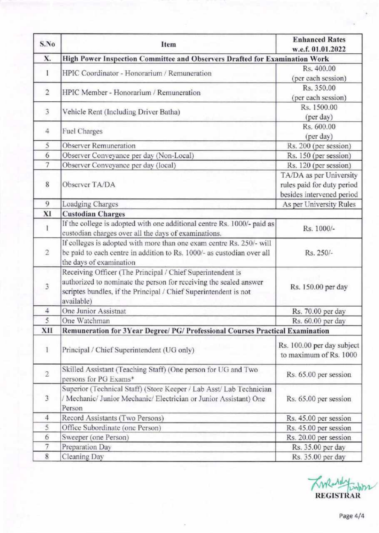| S.No           | Item                                                                                                                                                                                                              | <b>Enhanced Rates</b><br>w.e.f. 01.01.2022                                         |  |
|----------------|-------------------------------------------------------------------------------------------------------------------------------------------------------------------------------------------------------------------|------------------------------------------------------------------------------------|--|
| X.             | High Power Inspection Committee and Observers Drafted for Examination Work                                                                                                                                        |                                                                                    |  |
| 1              | HPIC Coordinator - Honorarium / Remuneration                                                                                                                                                                      | Rs. 400.00                                                                         |  |
|                |                                                                                                                                                                                                                   | (per each session)                                                                 |  |
| $\overline{2}$ | HPIC Member - Honorarium / Remuneration                                                                                                                                                                           | Rs. 350.00                                                                         |  |
|                |                                                                                                                                                                                                                   | (per each session)                                                                 |  |
| 3              | Vehicle Rent (Including Driver Batha)                                                                                                                                                                             | Rs. 1500.00<br>(per day)                                                           |  |
| 4              | <b>Fuel Charges</b>                                                                                                                                                                                               | Rs. 600.00<br>(per day)                                                            |  |
| 5              | Observer Remuneration                                                                                                                                                                                             | Rs. 200 (per session)                                                              |  |
| 6              | Observer Conveyance per day (Non-Local)                                                                                                                                                                           | Rs. 150 (per session)                                                              |  |
| $\overline{7}$ | Observer Conveyance per day (local)                                                                                                                                                                               | Rs. 120 (per session)                                                              |  |
| 8              | Observer TA/DA                                                                                                                                                                                                    | TA/DA as per University<br>rules paid for duty period<br>besides intervened period |  |
| 9              | Loadging Charges                                                                                                                                                                                                  | As per University Rules                                                            |  |
| XI             | <b>Custodian Charges</b>                                                                                                                                                                                          |                                                                                    |  |
| 1              | If the college is adopted with one additional centre Rs. 1000/- paid as<br>custodian charges over all the days of examinations.                                                                                   | Rs. 1000/-                                                                         |  |
| $\overline{2}$ | If colleges is adopted with more than one exam centre Rs. 250/- will<br>be paid to each centre in addition to Rs. 1000/- as custodian over all<br>the days of examination                                         | Rs. 250/-                                                                          |  |
| 3              | Receiving Officer (The Principal / Chief Superintendent is<br>authorized to nominate the person for receiving the sealed answer<br>scriptes bundles, if the Principal / Chief Superintendent is not<br>available) | Rs. 150.00 per day                                                                 |  |
| 4              | One Junior Assistnat                                                                                                                                                                                              | Rs. 70.00 per day                                                                  |  |
| 5              | One Watchman                                                                                                                                                                                                      | Rs. 60.00 per day                                                                  |  |
| XII            | Remuneration for 3Year Degree/ PG/ Professional Courses Practical Examination                                                                                                                                     |                                                                                    |  |
| $\mathbf{1}$   | Principal / Chief Superintendent (UG only)                                                                                                                                                                        | Rs. 100.00 per day subject<br>to maximum of Rs. 1000                               |  |
| $\overline{2}$ | Skilled Assistant (Teaching Staff) (One person for UG and Two<br>persons for PG Exams*                                                                                                                            | Rs. 65.00 per session                                                              |  |
| $\overline{3}$ | Superior (Technical Staff) (Store Keeper / Lab Asst/ Lab Technician<br>/ Mechanic/ Junior Mechanic/ Electrician or Junior Assistant) One<br>Person                                                                | Rs. 65.00 per session                                                              |  |
| $\overline{4}$ | Record Assistants (Two Persons)                                                                                                                                                                                   | Rs. 45.00 per session                                                              |  |
| 5              | Office Subordinate (one Person)                                                                                                                                                                                   | Rs. 45.00 per session                                                              |  |
| 6              | Sweeper (one Person)                                                                                                                                                                                              | Rs. 20.00 per session                                                              |  |
| 7              | Preparation Day                                                                                                                                                                                                   | Rs. 35.00 per day                                                                  |  |
| 8              | Cleaning Day                                                                                                                                                                                                      | Rs. 35.00 per day                                                                  |  |

Twee relations REGISTRAR

Page 414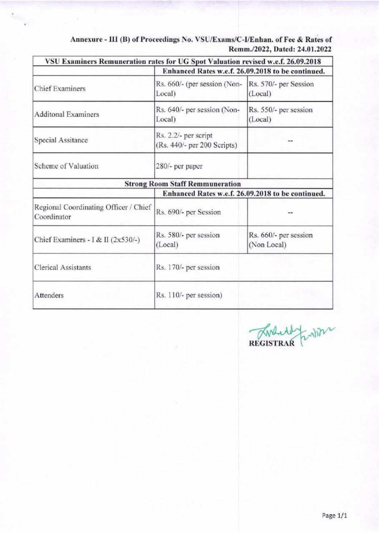| VSU Examiners Remuneration rates for UG Spot Valuation revised w.e.f. 26.09.2018 | Enhanced Rates w.e.f. 26.09.2018 to be continued.   |                                      |
|----------------------------------------------------------------------------------|-----------------------------------------------------|--------------------------------------|
| <b>Chief Examiners</b>                                                           | Rs. 660/- (per session (Non-<br>Local)              | Rs. 570/- per Session<br>(Local)     |
| <b>Additonal Examiners</b>                                                       | Rs. 640/- per session (Non-<br>Local)               | Rs. 550/- per session<br>(Local)     |
| Special Assitance                                                                | Rs. 2.2/- per script<br>(Rs. 440/- per 200 Scripts) |                                      |
| Scheme of Valuation                                                              | 280/- per paper                                     |                                      |
|                                                                                  | <b>Strong Room Staff Remmuneration</b>              |                                      |
|                                                                                  | Enhanced Rates w.e.f. 26.09.2018 to be continued.   |                                      |
| Regional Coordinating Officer / Chief<br>Coordinator                             | Rs. 690/- per Session                               |                                      |
| Chief Examiners - I & II $(2x530/-)$                                             | Rs. 580/- per session<br>(Local)                    | Rs. 660/- per session<br>(Non Local) |
| <b>Clerical Assistants</b>                                                       | Rs. 170/- per session                               |                                      |
| Attenders                                                                        | Rs. 110/- per session)                              |                                      |

Annexure - III (B) of Proceedings No. VSU/Exams/C-I/Enhan. of Fee & Rates of Remm./2022, Dated: 24.01.2022

Fundan REGISTRAR